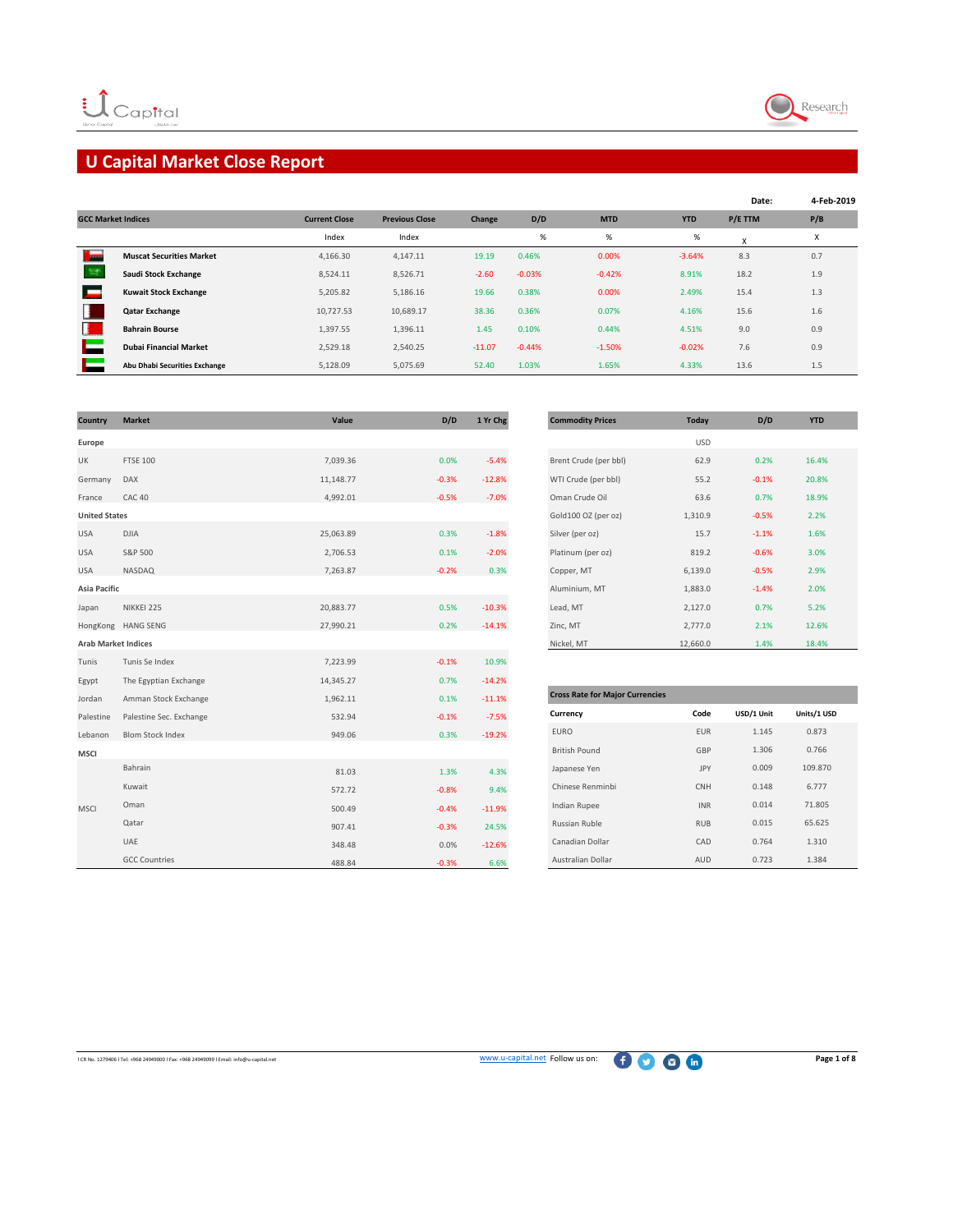

# **U Capital Market Close Report**

|                           |                                 |                      |                       |          |          |            |            | Date:   | 4-Feb-2019                |
|---------------------------|---------------------------------|----------------------|-----------------------|----------|----------|------------|------------|---------|---------------------------|
| <b>GCC Market Indices</b> |                                 | <b>Current Close</b> | <b>Previous Close</b> | Change   | D/D      | <b>MTD</b> | <b>YTD</b> | P/E TTM | P/B                       |
|                           |                                 | Index                | Index                 |          | $\%$     | %          | $\%$       | X       | $\checkmark$<br>$\lambda$ |
| <b>Service</b>            | <b>Muscat Securities Market</b> | 4,166.30             | 4,147.11              | 19.19    | 0.46%    | 0.00%      | $-3.64%$   | 8.3     | 0.7                       |
|                           | Saudi Stock Exchange            | 8,524.11             | 8,526.71              | $-2.60$  | $-0.03%$ | $-0.42%$   | 8.91%      | 18.2    | 1.9                       |
|                           | <b>Kuwait Stock Exchange</b>    | 5,205.82             | 5,186.16              | 19.66    | 0.38%    | 0.00%      | 2.49%      | 15.4    | 1.3                       |
|                           | <b>Qatar Exchange</b>           | 10,727.53            | 10,689.17             | 38.36    | 0.36%    | 0.07%      | 4.16%      | 15.6    | 1.6                       |
| н                         | <b>Bahrain Bourse</b>           | 1,397.55             | 1,396.11              | 1.45     | 0.10%    | 0.44%      | 4.51%      | 9.0     | 0.9                       |
|                           | <b>Dubai Financial Market</b>   | 2,529.18             | 2,540.25              | $-11.07$ | $-0.44%$ | $-1.50%$   | $-0.02%$   | 7.6     | 0.9                       |
|                           | Abu Dhabi Securities Exchange   | 5,128.09             | 5.075.69              | 52.40    | 1.03%    | 1.65%      | 4.33%      | 13.6    | 1.5                       |

| Country                    | <b>Market</b>           | Value     | D/D     | 1 Yr Chg | <b>Commodity Prices</b>                | <b>Today</b> | D/D        | <b>YTD</b>  |
|----------------------------|-------------------------|-----------|---------|----------|----------------------------------------|--------------|------------|-------------|
| Europe                     |                         |           |         |          |                                        | <b>USD</b>   |            |             |
| UK                         | <b>FTSE 100</b>         | 7,039.36  | 0.0%    | $-5.4%$  | Brent Crude (per bbl)                  | 62.9         | 0.2%       | 16.4%       |
| Germany                    | DAX                     | 11,148.77 | $-0.3%$ | $-12.8%$ | WTI Crude (per bbl)                    | 55.2         | $-0.1%$    | 20.8%       |
| France                     | CAC 40                  | 4,992.01  | $-0.5%$ | $-7.0%$  | Oman Crude Oil                         | 63.6         | 0.7%       | 18.9%       |
| <b>United States</b>       |                         |           |         |          | Gold100 OZ (per oz)                    | 1,310.9      | $-0.5%$    | 2.2%        |
| <b>USA</b>                 | <b>DJIA</b>             | 25,063.89 | 0.3%    | $-1.8%$  | Silver (per oz)                        | 15.7         | $-1.1%$    | 1.6%        |
| <b>USA</b>                 | S&P 500                 | 2,706.53  | 0.1%    | $-2.0%$  | Platinum (per oz)                      | 819.2        | $-0.6%$    | 3.0%        |
| <b>USA</b>                 | NASDAQ                  | 7,263.87  | $-0.2%$ | 0.3%     | Copper, MT                             | 6,139.0      | $-0.5%$    | 2.9%        |
| Asia Pacific               |                         |           |         |          | Aluminium, MT                          | 1,883.0      | $-1.4%$    | 2.0%        |
| Japan                      | NIKKEI 225              | 20,883.77 | 0.5%    | $-10.3%$ | Lead, MT                               | 2,127.0      | 0.7%       | 5.2%        |
|                            | HongKong HANG SENG      | 27,990.21 | 0.2%    | $-14.1%$ | Zinc, MT                               | 2,777.0      | 2.1%       | 12.6%       |
| <b>Arab Market Indices</b> |                         |           |         |          | Nickel, MT                             | 12,660.0     | 1.4%       | 18.4%       |
| Tunis                      | Tunis Se Index          | 7,223.99  | $-0.1%$ | 10.9%    |                                        |              |            |             |
| Egypt                      | The Egyptian Exchange   | 14,345.27 | 0.7%    | $-14.2%$ |                                        |              |            |             |
| Jordan                     | Amman Stock Exchange    | 1,962.11  | 0.1%    | $-11.1%$ | <b>Cross Rate for Major Currencies</b> |              |            |             |
| Palestine                  | Palestine Sec. Exchange | 532.94    | $-0.1%$ | $-7.5%$  | Currency                               | Code         | USD/1 Unit | Units/1 USD |
| Lebanon                    | <b>Blom Stock Index</b> | 949.06    | 0.3%    | $-19.2%$ | <b>EURO</b>                            | <b>EUR</b>   | 1.145      | 0.873       |
| <b>MSCI</b>                |                         |           |         |          | <b>British Pound</b>                   | GBP          | 1.306      | 0.766       |
|                            | Bahrain                 | 81.03     | 1.3%    | 4.3%     | Japanese Yen                           | JPY          | 0.009      | 109.870     |
|                            | Kuwait                  | 572.72    | $-0.8%$ | 9.4%     | Chinese Renminbi                       | CNH          | 0.148      | 6.777       |
| <b>MSCI</b>                | Oman                    | 500.49    | $-0.4%$ | $-11.9%$ | Indian Rupee                           | INR          | 0.014      | 71.805      |
|                            | Qatar                   | 907.41    | $-0.3%$ | 24.5%    | Russian Ruble                          | <b>RUB</b>   | 0.015      | 65.625      |
|                            | UAE                     | 348.48    | 0.0%    | $-12.6%$ | Canadian Dollar                        | CAD          | 0.764      | 1.310       |
|                            | <b>GCC Countries</b>    | 488.84    | $-0.3%$ | 6.6%     | Australian Dollar                      | AUD          | 0.723      | 1.384       |

| <b>Commodity Prices</b> | <b>Today</b> | D/D     | <b>YTD</b> |
|-------------------------|--------------|---------|------------|
|                         | <b>USD</b>   |         |            |
| Brent Crude (per bbl)   | 62.9         | 0.2%    | 16.4%      |
| WTI Crude (per bbl)     | 55.2         | $-0.1%$ | 20.8%      |
| Oman Crude Oil          | 63.6         | 0.7%    | 18.9%      |
| Gold100 OZ (per oz)     | 1,310.9      | $-0.5%$ | 2.2%       |
| Silver (per oz)         | 15.7         | $-1.1%$ | 1.6%       |
| Platinum (per oz)       | 819.2        | $-0.6%$ | 3.0%       |
| Copper, MT              | 6,139.0      | $-0.5%$ | 2.9%       |
| Aluminium, MT           | 1,883.0      | $-1.4%$ | 2.0%       |
| Lead, MT                | 2,127.0      | 0.7%    | 5.2%       |
| Zinc, MT                | 2,777.0      | 2.1%    | 12.6%      |
| Nickel, MT              | 12,660.0     | 1.4%    | 18.4%      |

| <b>Cross Rate for Major Currencies</b> |            |            |             |
|----------------------------------------|------------|------------|-------------|
| Currency                               | Code       | USD/1 Unit | Units/1 USD |
| <b>FURO</b>                            | <b>FUR</b> | 1.145      | 0.873       |
| <b>British Pound</b>                   | GBP        | 1.306      | 0.766       |
| Japanese Yen                           | <b>JPY</b> | 0.009      | 109.870     |
| Chinese Renminbi                       | <b>CNH</b> | 0.148      | 6.777       |
| Indian Rupee                           | <b>INR</b> | 0.014      | 71.805      |
| Russian Ruble                          | <b>RUB</b> | 0.015      | 65.625      |
| Canadian Dollar                        | CAD        | 0.764      | 1.310       |
| Australian Dollar                      | AUD        | 0.723      | 1.384       |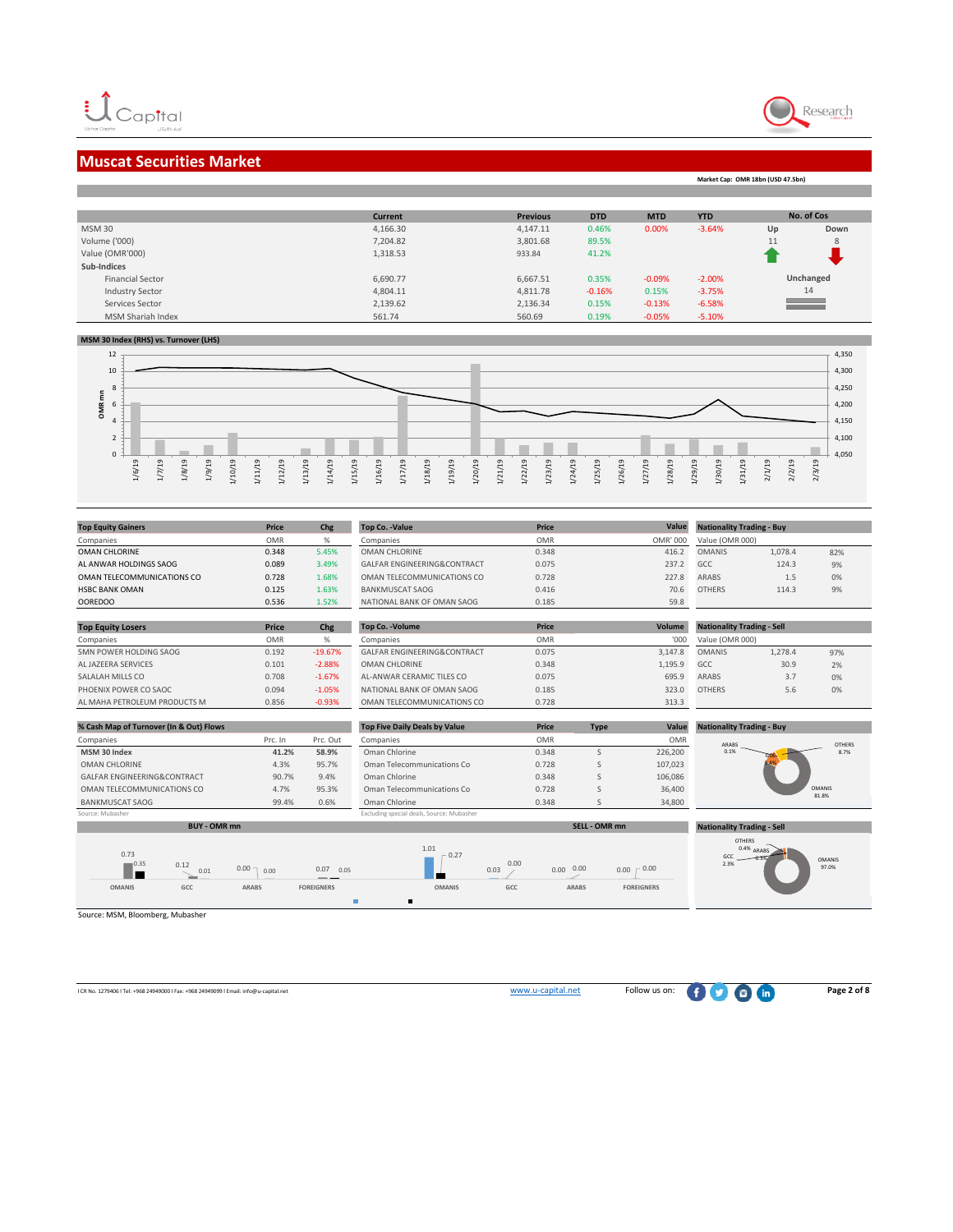П

## **Muscat Securities Market**

Research

**Market Cap: OMR 18bn (USD 47.5bn)**

|                         | <b>Current</b> | <b>Previous</b> | <b>DTD</b> | <b>MTD</b> | <b>YTD</b> |    | No. of Cos          |
|-------------------------|----------------|-----------------|------------|------------|------------|----|---------------------|
| <b>MSM 30</b>           | 4,166.30       | 4,147.11        | 0.46%      | 0.00%      | $-3.64%$   | Up | Down                |
| Volume ('000)           | 7,204.82       | 3,801.68        | 89.5%      |            |            | 11 | 8                   |
| Value (OMR'000)         | 1,318.53       | 933.84          | 41.2%      |            |            |    |                     |
| Sub-Indices             |                |                 |            |            |            |    |                     |
| <b>Financial Sector</b> | 6,690.77       | 6,667.51        | 0.35%      | $-0.09%$   | $-2.00%$   |    | Unchanged           |
| <b>Industry Sector</b>  | 4,804.11       | 4,811.78        | $-0.16%$   | 0.15%      | $-3.75%$   |    | 14                  |
| Services Sector         | 2,139.62       | 2,136.34        | 0.15%      | $-0.13%$   | $-6.58%$   |    | <u> a shekara t</u> |
| MSM Shariah Index       | 561.74         | 560.69          | 0.19%      | $-0.05%$   | $-5.10%$   |    |                     |

#### **MSM 30 Index (RHS) vs. Turnover (LHS)**



|                            |            |       |                             |            | Value    |                                  |         |     |
|----------------------------|------------|-------|-----------------------------|------------|----------|----------------------------------|---------|-----|
| <b>Top Equity Gainers</b>  | Price      | Chg   | <b>Top Co. - Value</b>      | Price      |          | <b>Nationality Trading - Buy</b> |         |     |
| Companies                  | <b>OMR</b> |       | Companies                   | <b>OMR</b> | OMR' 000 | Value (OMR 000)                  |         |     |
| <b>OMAN CHLORINE</b>       | 0.348      | 5.45% | <b>OMAN CHLORINE</b>        | 0.348      | 416.2    | <b>OMANIS</b>                    | 1,078.4 | 82% |
| AL ANWAR HOLDINGS SAOG     | 0.089      | 3.49% | GALFAR ENGINFERING&CONTRACT | 0.075      | 237.2    | GCC.                             | 124.3   | 9%  |
| OMAN TELECOMMUNICATIONS CO | 0.728      | 1.68% | OMAN TELECOMMUNICATIONS CO  | 0.728      | 227.8    | <b>ARABS</b>                     | 1.5     | 0%  |
| <b>HSBC BANK OMAN</b>      | 0.125      | 1.63% | <b>BANKMUSCAT SAOG</b>      | 0.416      | 70.6     | <b>OTHERS</b>                    | 114.3   | 9%  |
| <b>OOREDOO</b>             | 0.536      | 1.52% | NATIONAL BANK OF OMAN SAOG  | 0.185      | 59.8     |                                  |         |     |

| <b>Top Equity Losers</b>     | <b>Price</b> | Chg       | <b>Top Co. - Volume</b>     | Price      | Volume  | <b>Nationality Trading - Sell</b> |         |     |  |
|------------------------------|--------------|-----------|-----------------------------|------------|---------|-----------------------------------|---------|-----|--|
| Companies                    | <b>OMR</b>   | %         | Companies                   | <b>OMR</b> | '000    | Value (OMR 000)                   |         |     |  |
| SMN POWER HOLDING SAOG       | 0.192        | $-19.67%$ | GALFAR ENGINEERING&CONTRACT | 0.075      | 3.147.8 | <b>OMANIS</b>                     | 1,278.4 | 97% |  |
| AL JAZEERA SERVICES          | 0.101        | $-2.88%$  | OMAN CHLORINE               | 0.348      | 1.195.9 | GCC                               | 30.9    | 2%  |  |
| SALALAH MILLS CO             | 0.708        | $-1.67%$  | AL-ANWAR CERAMIC TILES CO   | 0.075      | 695.9   | <b>ARABS</b>                      | 3.7     | 0%  |  |
| PHOENIX POWER CO SAOC        | 0.094        | $-1.05%$  | NATIONAL BANK OF OMAN SAOG  | 0.185      | 323.0   | <b>OTHERS</b>                     | 5.6     | 0%  |  |
| AL MAHA PETROLFUM PRODUCTS M | 0.856        | $-0.93%$  | OMAN TELECOMMUNICATIONS CO  | 0.728      | 313.3   |                                   |         |     |  |

| % Cash Map of Turnover (In & Out) Flows | <b>Top Five Daily Deals by Value</b><br>Price<br>Value<br><b>Type</b> |          |                                           |            | <b>Nationality Trading - Buy</b> |            |                        |               |
|-----------------------------------------|-----------------------------------------------------------------------|----------|-------------------------------------------|------------|----------------------------------|------------|------------------------|---------------|
| Companies                               | Prc. In                                                               | Prc. Out | Companies                                 | <b>OMR</b> |                                  | <b>OMR</b> | ARABS                  | <b>OTHERS</b> |
| MSM 30 Index                            | 41.2%                                                                 | 58.9%    | Oman Chlorine                             | 0.348      |                                  | 226,200    | 0.1%                   | 8.7%          |
| OMAN CHLORINE                           | 4.3%                                                                  | 95.7%    | Oman Telecommunications Co                | 0.728      |                                  | 107,023    |                        |               |
| GALFAR ENGINEERING&CONTRACT             | 90.7%                                                                 | 9.4%     | Oman Chlorine                             | 0.348      |                                  | 106,086    |                        |               |
| OMAN TELECOMMUNICATIONS CO              | 4.7%                                                                  | 95.3%    | Oman Telecommunications Co                | 0.728      |                                  | 36,400     | <b>OMANIS</b><br>81.8% |               |
| BANKMUSCAT SAOG                         | 99.4%                                                                 | 0.6%     | Oman Chlorine                             | 0.348      |                                  | 34,800     |                        |               |
| Source: Mubasher                        |                                                                       |          | Excluding special deals, Source: Mubasher |            |                                  |            |                        |               |



Source: MSM, Bloomberg, Mubasher

OMANIS 97.0%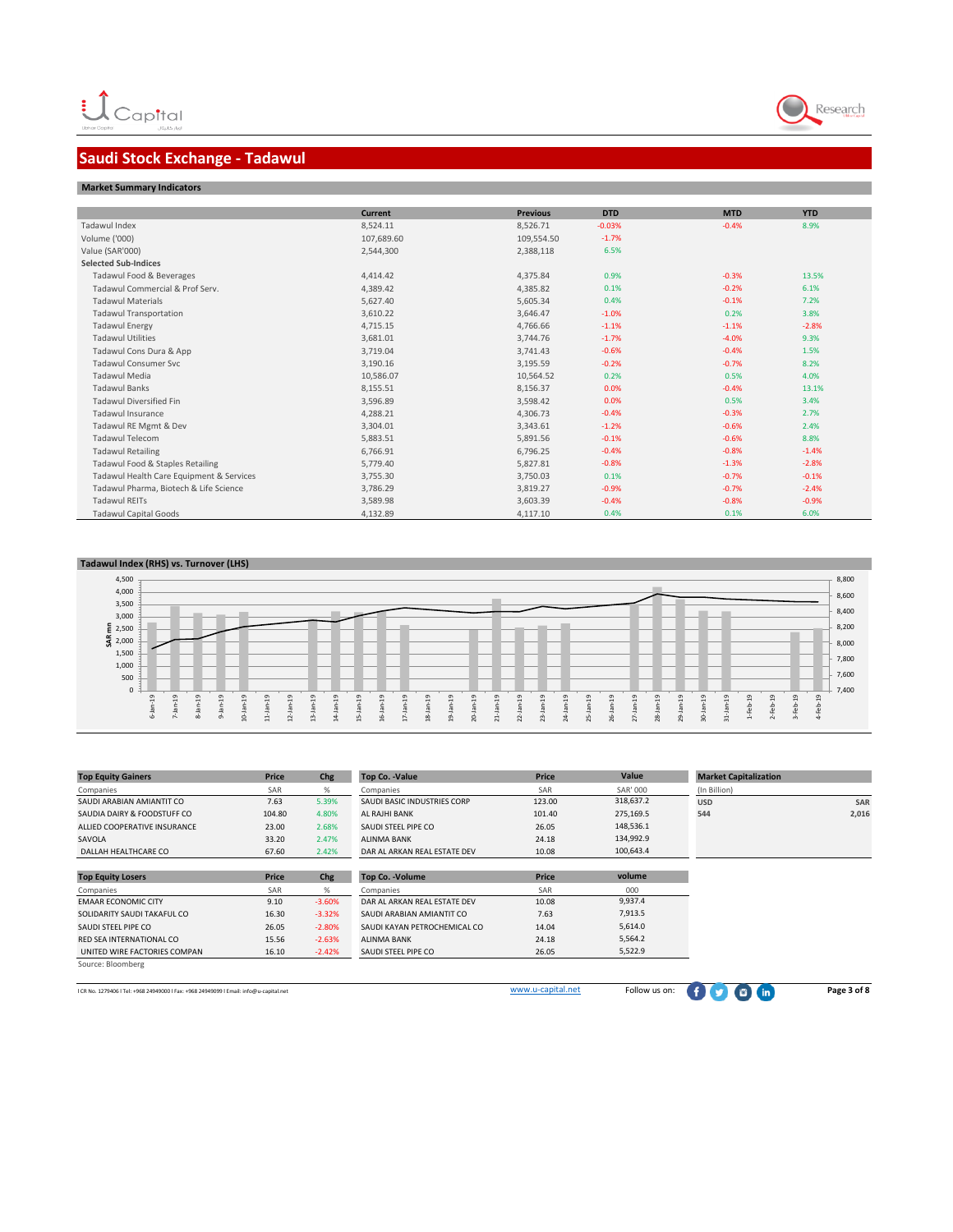# **Saudi Stock Exchange - Tadawul**

#### **Market Summary Indicators**

|                                          | <b>Current</b> | <b>Previous</b> | <b>DTD</b> | <b>MTD</b> | <b>YTD</b> |  |
|------------------------------------------|----------------|-----------------|------------|------------|------------|--|
| Tadawul Index                            | 8,524.11       | 8,526.71        | $-0.03%$   | $-0.4%$    | 8.9%       |  |
| Volume ('000)                            | 107,689.60     | 109,554.50      | $-1.7%$    |            |            |  |
| Value (SAR'000)                          | 2,544,300      | 2,388,118       | 6.5%       |            |            |  |
| <b>Selected Sub-Indices</b>              |                |                 |            |            |            |  |
| Tadawul Food & Beverages                 | 4,414.42       | 4,375.84        | 0.9%       | $-0.3%$    | 13.5%      |  |
| Tadawul Commercial & Prof Serv.          | 4,389.42       | 4,385.82        | 0.1%       | $-0.2%$    | 6.1%       |  |
| <b>Tadawul Materials</b>                 | 5,627.40       | 5,605.34        | 0.4%       | $-0.1%$    | 7.2%       |  |
| <b>Tadawul Transportation</b>            | 3,610.22       | 3,646.47        | $-1.0%$    | 0.2%       | 3.8%       |  |
| <b>Tadawul Energy</b>                    | 4,715.15       | 4,766.66        | $-1.1%$    | $-1.1%$    | $-2.8%$    |  |
| <b>Tadawul Utilities</b>                 | 3,681.01       | 3,744.76        | $-1.7%$    | $-4.0%$    | 9.3%       |  |
| Tadawul Cons Dura & App                  | 3,719.04       | 3,741.43        | $-0.6%$    | $-0.4%$    | 1.5%       |  |
| Tadawul Consumer Syc                     | 3,190.16       | 3,195.59        | $-0.2%$    | $-0.7%$    | 8.2%       |  |
| <b>Tadawul Media</b>                     | 10,586.07      | 10,564.52       | 0.2%       | 0.5%       | 4.0%       |  |
| <b>Tadawul Banks</b>                     | 8,155.51       | 8,156.37        | 0.0%       | $-0.4%$    | 13.1%      |  |
| <b>Tadawul Diversified Fin</b>           | 3,596.89       | 3,598.42        | 0.0%       | 0.5%       | 3.4%       |  |
| Tadawul Insurance                        | 4,288.21       | 4,306.73        | $-0.4%$    | $-0.3%$    | 2.7%       |  |
| Tadawul RE Mgmt & Dev                    | 3,304.01       | 3,343.61        | $-1.2%$    | $-0.6%$    | 2.4%       |  |
| <b>Tadawul Telecom</b>                   | 5,883.51       | 5,891.56        | $-0.1%$    | $-0.6%$    | 8.8%       |  |
| <b>Tadawul Retailing</b>                 | 6,766.91       | 6,796.25        | $-0.4%$    | $-0.8%$    | $-1.4%$    |  |
| Tadawul Food & Staples Retailing         | 5,779.40       | 5,827.81        | $-0.8%$    | $-1.3%$    | $-2.8%$    |  |
| Tadawul Health Care Equipment & Services | 3,755.30       | 3,750.03        | 0.1%       | $-0.7%$    | $-0.1%$    |  |
| Tadawul Pharma, Biotech & Life Science   | 3,786.29       | 3,819.27        | $-0.9%$    | $-0.7%$    | $-2.4%$    |  |
| <b>Tadawul REITs</b>                     | 3,589.98       | 3,603.39        | $-0.4%$    | $-0.8%$    | $-0.9%$    |  |
| <b>Tadawul Capital Goods</b>             | 4,132.89       | 4,117.10        | 0.4%       | 0.1%       | 6.0%       |  |

#### **Tadawul Index (RHS) vs. Turnover (LHS)**  7,400 7,600 7,800 8,000 8,200 8,400 8,600 8,800 0 500 1,000 1,500<br> **E** 2,500<br> **S** 2,000<br>
1,500 3,500 4,000 4,500 6-Jan-19 7-Jan-19 8-Jan-19 9-Jan-19 10-Jan-19 11-Jan-19 12-Jan-19 13-Jan-19 14-Jan-19 15-Jan-19 16-Jan-19 17-Jan-19 18-Jan-19 19-Jan-19 20-Jan-19 21-Jan-19 22-Jan-19 23-Jan-19 24-Jan-19 25-Jan-19 26-Jan-19 27-Jan-19 28-Jan-19 29-Jan-19 30-Jan-19 31-Jan-19 1-Feb-19 2-Feb-19 3-Feb-19 4-Feb-19

| <b>Top Equity Gainers</b>    | Price  | Chg      | <b>Top Co. - Value</b>       | Price  | Value           | <b>Market Capitalization</b> |       |
|------------------------------|--------|----------|------------------------------|--------|-----------------|------------------------------|-------|
| Companies                    | SAR    | %        | Companies                    | SAR    | <b>SAR' 000</b> | (In Billion)                 |       |
| SAUDI ARABIAN AMIANTIT CO    | 7.63   | 5.39%    | SAUDI BASIC INDUSTRIES CORP  | 123.00 | 318,637.2       | <b>USD</b>                   | SAR   |
| SAUDIA DAIRY & FOODSTUFF CO  | 104.80 | 4.80%    | AL RAJHI BANK                | 101.40 | 275,169.5       | 544                          | 2,016 |
| ALLIED COOPERATIVE INSURANCE | 23.00  | 2.68%    | SAUDI STEEL PIPE CO          | 26.05  | 148,536.1       |                              |       |
| SAVOLA                       | 33.20  | 2.47%    | <b>ALINMA BANK</b>           | 24.18  | 134,992.9       |                              |       |
| DALLAH HEALTHCARE CO         | 67.60  | 2.42%    | DAR AL ARKAN REAL ESTATE DEV | 10.08  | 100,643.4       |                              |       |
|                              |        |          |                              |        |                 |                              |       |
| <b>Top Equity Losers</b>     | Price  | Chg      | <b>Top Co. - Volume</b>      | Price  | volume          |                              |       |
| Companies                    | SAR    | %        | Companies                    | SAR    | 000             |                              |       |
| <b>EMAAR ECONOMIC CITY</b>   | 9.10   | $-3.60%$ | DAR AL ARKAN REAL ESTATE DEV | 10.08  | 9,937.4         |                              |       |
| SOLIDARITY SAUDI TAKAFUL CO  | 16.30  | $-3.32%$ | SAUDI ARABIAN AMIANTIT CO    | 7.63   | 7,913.5         |                              |       |
| SAUDI STEEL PIPE CO          | 26.05  | $-2.80%$ | SAUDI KAYAN PETROCHEMICAL CO | 14.04  | 5,614.0         |                              |       |
| RED SEA INTERNATIONAL CO     | 15.56  | $-2.63%$ | <b>ALINMA BANK</b>           | 24.18  | 5,564.2         |                              |       |
| UNITED WIRE FACTORIES COMPAN | 16.10  | $-2.42%$ | SAUDI STEEL PIPE CO          | 26.05  | 5,522.9         |                              |       |
| Source: Bloomberg            |        |          |                              |        |                 |                              |       |

ICR No. 1279406 l Tel: +968 24949000 l Fax: +968 24949099 l Email: info@u-capital.net WWW.u-capital.net Follo[w](http://www.u-capital.net/) us on: **Page 3 of 8** 

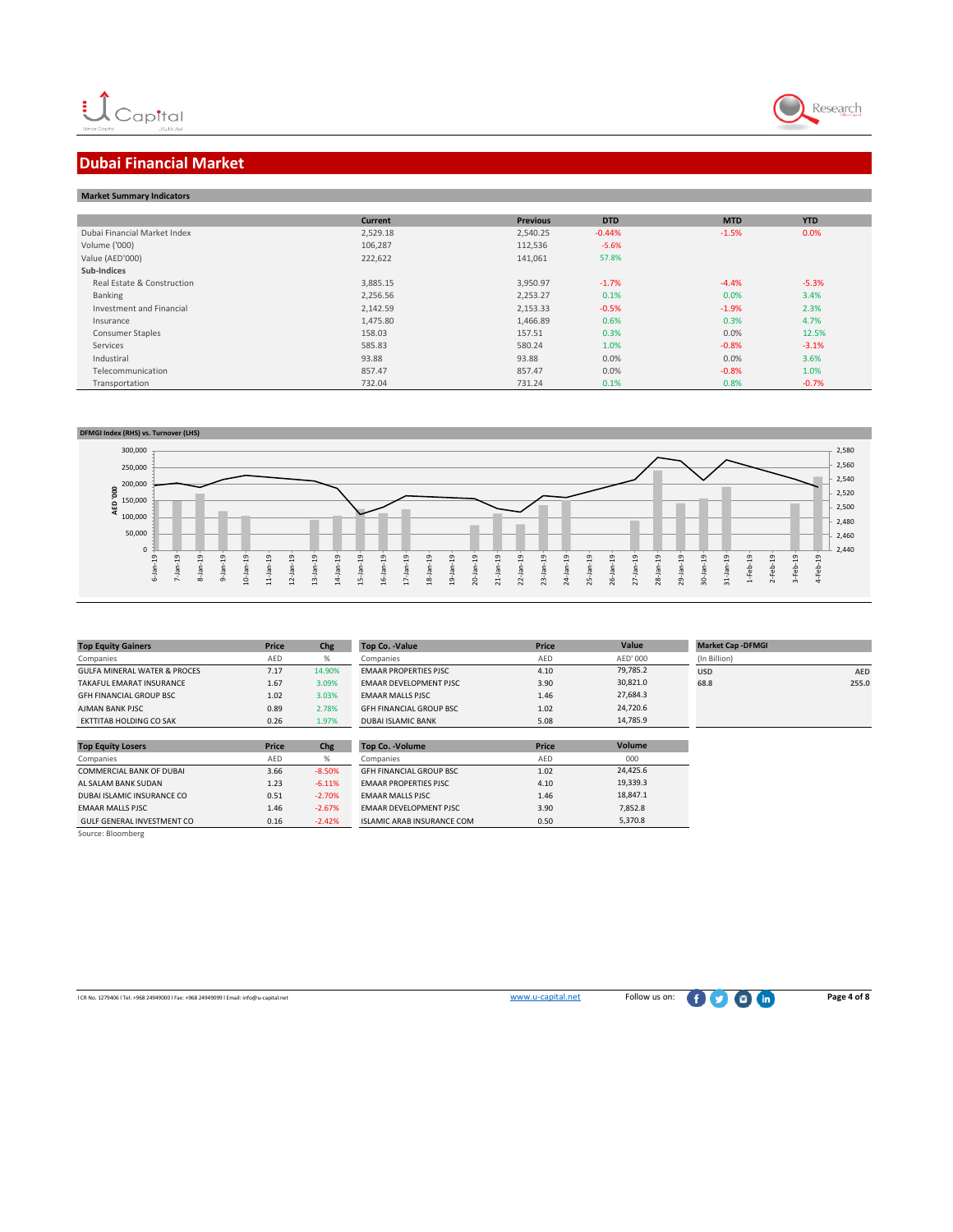

# **Dubai Financial Market**

| <b>Market Summary Indicators</b> |          |                 |            |            |            |  |
|----------------------------------|----------|-----------------|------------|------------|------------|--|
|                                  |          |                 |            |            |            |  |
|                                  | Current  | <b>Previous</b> | <b>DTD</b> | <b>MTD</b> | <b>YTD</b> |  |
| Dubai Financial Market Index     | 2,529.18 | 2,540.25        | $-0.44%$   | $-1.5%$    | 0.0%       |  |
| Volume ('000)                    | 106,287  | 112,536         | $-5.6%$    |            |            |  |
| Value (AED'000)                  | 222,622  | 141,061         | 57.8%      |            |            |  |
| Sub-Indices                      |          |                 |            |            |            |  |
| Real Estate & Construction       | 3,885.15 | 3,950.97        | $-1.7%$    | $-4.4%$    | $-5.3%$    |  |
| Banking                          | 2,256.56 | 2,253.27        | 0.1%       | 0.0%       | 3.4%       |  |
| Investment and Financial         | 2,142.59 | 2,153.33        | $-0.5%$    | $-1.9%$    | 2.3%       |  |
| Insurance                        | 1,475.80 | 1,466.89        | 0.6%       | 0.3%       | 4.7%       |  |
| <b>Consumer Staples</b>          | 158.03   | 157.51          | 0.3%       | 0.0%       | 12.5%      |  |
| Services                         | 585.83   | 580.24          | 1.0%       | $-0.8%$    | $-3.1%$    |  |
| Industiral                       | 93.88    | 93.88           | 0.0%       | 0.0%       | 3.6%       |  |
| Telecommunication                | 857.47   | 857.47          | 0.0%       | $-0.8%$    | 1.0%       |  |
| Transportation                   | 732.04   | 731.24          | 0.1%       | 0.8%       | $-0.7%$    |  |



| <b>Top Equity Gainers</b>       | Price        | Chg      | <b>Top Co. - Value</b>         | Price | Value    | <b>Market Cap - DFMGI</b> |            |
|---------------------------------|--------------|----------|--------------------------------|-------|----------|---------------------------|------------|
| Companies                       | AED          | %        | Companies                      | AED   | AED' 000 | (In Billion)              |            |
| GULFA MINERAL WATER & PROCES    | 7.17         | 14.90%   | <b>FMAAR PROPERTIES PISC.</b>  | 4.10  | 79.785.2 | <b>USD</b>                | <b>AED</b> |
| TAKAFUL FMARAT INSURANCE        | 1.67         | 3.09%    | <b>FMAAR DEVELOPMENT PISC.</b> | 3.90  | 30,821.0 | 68.8                      | 255.0      |
| <b>GFH FINANCIAL GROUP BSC</b>  | 1.02         | 3.03%    | <b>EMAAR MALLS PJSC</b>        | 1.46  | 27.684.3 |                           |            |
| AIMAN BANK PISC                 | 0.89         | 2.78%    | <b>GEH FINANCIAL GROUP BSC</b> | 1.02  | 24.720.6 |                           |            |
| EKTTITAB HOLDING CO SAK         | 0.26         | 1.97%    | <b>DUBAI ISLAMIC BANK</b>      | 5.08  | 14,785.9 |                           |            |
| <b>Top Equity Losers</b>        | <b>Price</b> | Chg      | <b>Top Co. - Volume</b>        | Price | Volume   |                           |            |
| Companies                       | AED          | %        | Companies                      | AED   | 000      |                           |            |
| <b>COMMERCIAL BANK OF DUBAI</b> | 3.66         | $-8.50%$ | <b>GFH FINANCIAL GROUP BSC</b> | 1.02  | 24.425.6 |                           |            |
| AL SALAM BANK SUDAN             | 1.23         | $-6.11%$ | <b>EMAAR PROPERTIES PJSC</b>   | 4.10  | 19.339.3 |                           |            |

| <b>EMAAR MALLS PJSC</b>    | 1.46 | $-2.67%$ | <b>FMAAR DEVELOPMENT PISC.</b>    | 3.90 |
|----------------------------|------|----------|-----------------------------------|------|
| GULF GENERAL INVESTMENT CO | 0.16 | $-2.42%$ | <b>ISLAMIC ARAB INSURANCE COM</b> | 0.50 |
| Source: Bloomberg          |      |          |                                   |      |

DUBAI ISLAMIC INSURANCE CO 0.51 -2.70% EMAAR MALLS PJSC 1.46

7,852.8 5,370.8 18,847.1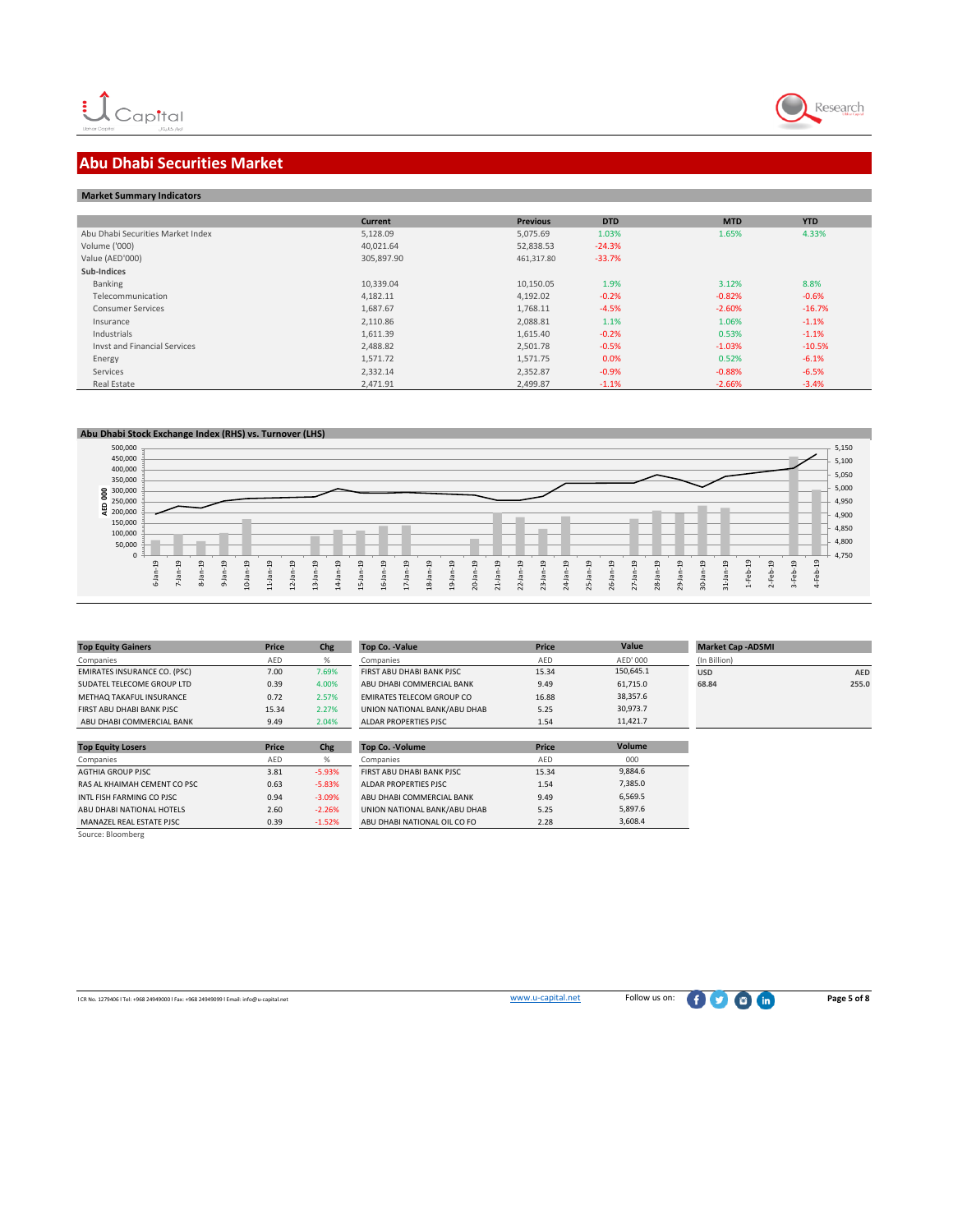

## **Abu Dhabi Securities Market**

| <b>Market Summary Indicators</b> |  |
|----------------------------------|--|
|----------------------------------|--|

|                                   | Current    | <b>Previous</b> | <b>DTD</b> | <b>MTD</b> | <b>YTD</b> |
|-----------------------------------|------------|-----------------|------------|------------|------------|
| Abu Dhabi Securities Market Index | 5,128.09   | 5,075.69        | 1.03%      | 1.65%      | 4.33%      |
| Volume ('000)                     | 40,021.64  | 52,838.53       | $-24.3%$   |            |            |
| Value (AED'000)                   | 305,897.90 | 461,317.80      | $-33.7%$   |            |            |
| Sub-Indices                       |            |                 |            |            |            |
| Banking                           | 10,339.04  | 10,150.05       | 1.9%       | 3.12%      | 8.8%       |
| Telecommunication                 | 4,182.11   | 4,192.02        | $-0.2%$    | $-0.82%$   | $-0.6%$    |
| <b>Consumer Services</b>          | 1,687.67   | 1,768.11        | $-4.5%$    | $-2.60%$   | $-16.7%$   |
| Insurance                         | 2,110.86   | 2,088.81        | 1.1%       | 1.06%      | $-1.1%$    |
| Industrials                       | 1,611.39   | 1,615.40        | $-0.2%$    | 0.53%      | $-1.1%$    |
| Invst and Financial Services      | 2,488.82   | 2,501.78        | $-0.5%$    | $-1.03%$   | $-10.5%$   |
| Energy                            | 1,571.72   | 1,571.75        | 0.0%       | 0.52%      | $-6.1%$    |
| Services                          | 2,332.14   | 2,352.87        | $-0.9%$    | $-0.88%$   | $-6.5%$    |
| Real Estate                       | 2,471.91   | 2,499.87        | $-1.1%$    | $-2.66%$   | $-3.4%$    |



| <b>Top Equity Gainers</b>           | <b>Price</b> | Chg      | Top Co. - Value                  | Price      | Value     | <b>Market Cap -ADSMI</b> |            |
|-------------------------------------|--------------|----------|----------------------------------|------------|-----------|--------------------------|------------|
| Companies                           | AED          | %        | Companies                        | AED        | AED' 000  | (In Billion)             |            |
| <b>EMIRATES INSURANCE CO. (PSC)</b> | 7.00         | 7.69%    | FIRST ABU DHABI BANK PJSC        | 15.34      | 150,645.1 | <b>USD</b>               | <b>AED</b> |
| SUDATEL TELECOME GROUP LTD          | 0.39         | 4.00%    | ABU DHABI COMMERCIAL BANK        | 9.49       | 61,715.0  | 68.84                    | 255.0      |
| METHAQ TAKAFUL INSURANCE            | 0.72         | 2.57%    | <b>EMIRATES TELECOM GROUP CO</b> | 16.88      | 38,357.6  |                          |            |
| FIRST ABU DHABI BANK PJSC           | 15.34        | 2.27%    | UNION NATIONAL BANK/ABU DHAB     | 5.25       | 30,973.7  |                          |            |
| ABU DHABI COMMERCIAL BANK           | 9.49         | 2.04%    | ALDAR PROPERTIES PJSC            | 1.54       | 11,421.7  |                          |            |
|                                     |              |          |                                  |            |           |                          |            |
| <b>Top Equity Losers</b>            | <b>Price</b> | Chg      | Top Co. - Volume                 | Price      | Volume    |                          |            |
| Companies                           | AED          | %        | Companies                        | <b>AED</b> | 000       |                          |            |
| <b>AGTHIA GROUP PISC</b>            | 3.81         | $-5.93%$ | FIRST ABU DHABI BANK PJSC        | 15.34      | 9,884.6   |                          |            |
| RAS AL KHAIMAH CEMENT CO PSC        | 0.63         | $-5.83%$ | ALDAR PROPERTIES PJSC            | 1.54       | 7,385.0   |                          |            |
| INTL FISH FARMING CO PJSC           | 0.94         | $-3.09%$ | ABU DHABI COMMERCIAL BANK        | 9.49       | 6,569.5   |                          |            |
| ABU DHABI NATIONAL HOTELS           | 2.60         | $-2.26%$ | UNION NATIONAL BANK/ABU DHAB     | 5.25       | 5,897.6   |                          |            |

2.60 -2.26% UNION NATIONAL BANK/ABU DHAB 5.25<br>0.39 -1.52% ABU DHABI NATIONAL OIL CO FO 2.28 ABU DHABI NATIONAL OIL CO FO

MANAZEL REAL ESTATE PJSC<br>Source: Bloomberg

5,897.6 3,608.4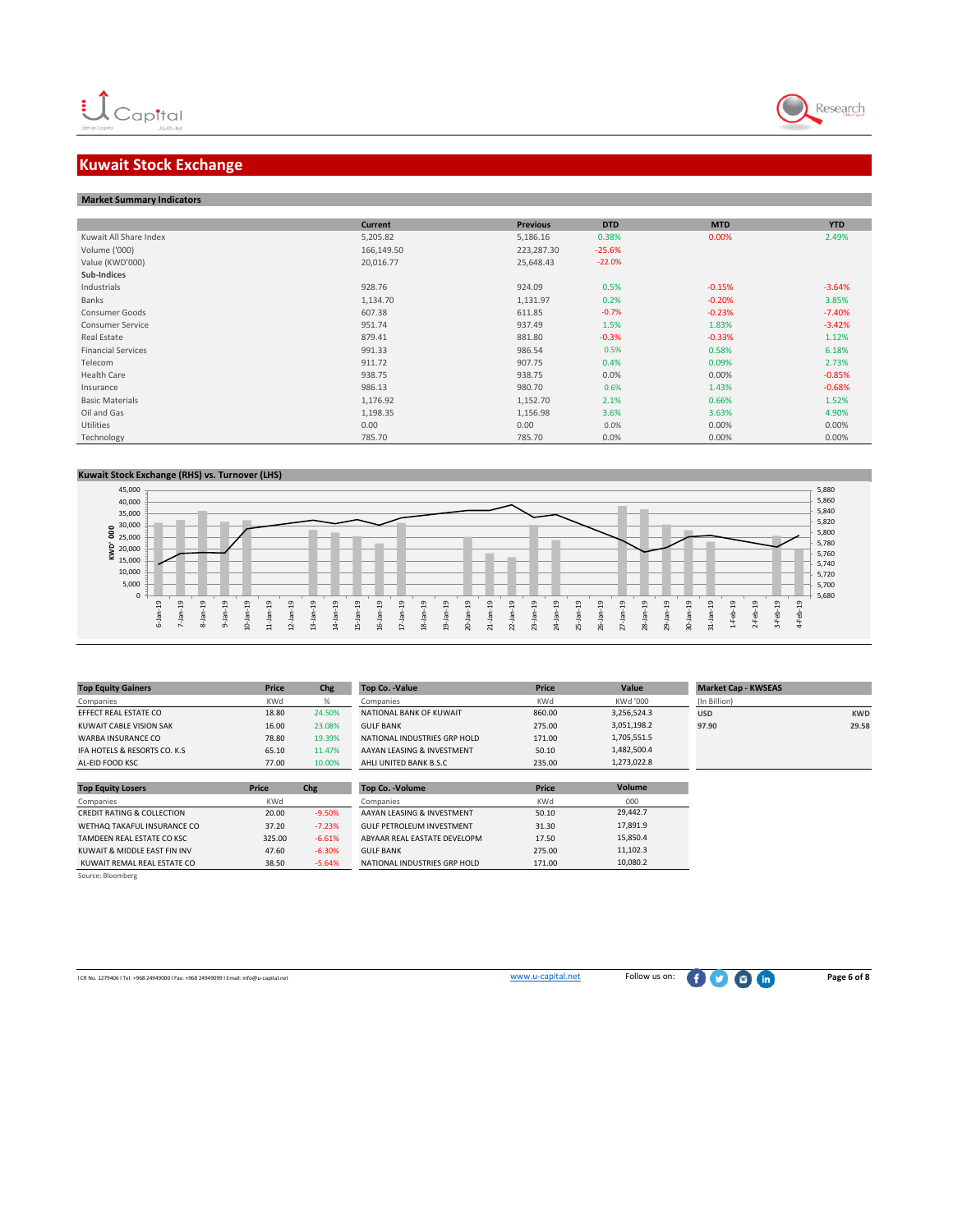

# **Kuwait Stock Exchange**

#### **Market Summary Indicators**

|                           | Current    | <b>Previous</b> | <b>DTD</b> | <b>MTD</b> | <b>YTD</b> |
|---------------------------|------------|-----------------|------------|------------|------------|
| Kuwait All Share Index    | 5,205.82   | 5,186.16        | 0.38%      | 0.00%      | 2.49%      |
| Volume ('000)             | 166,149.50 | 223,287.30      | $-25.6%$   |            |            |
| Value (KWD'000)           | 20,016.77  | 25,648.43       | $-22.0%$   |            |            |
| Sub-Indices               |            |                 |            |            |            |
| Industrials               | 928.76     | 924.09          | 0.5%       | $-0.15%$   | $-3.64%$   |
| Banks                     | 1,134.70   | 1,131.97        | 0.2%       | $-0.20%$   | 3.85%      |
| Consumer Goods            | 607.38     | 611.85          | $-0.7%$    | $-0.23%$   | $-7.40%$   |
| <b>Consumer Service</b>   | 951.74     | 937.49          | 1.5%       | 1.83%      | $-3.42%$   |
| Real Estate               | 879.41     | 881.80          | $-0.3%$    | $-0.33%$   | 1.12%      |
| <b>Financial Services</b> | 991.33     | 986.54          | 0.5%       | 0.58%      | 6.18%      |
| Telecom                   | 911.72     | 907.75          | 0.4%       | 0.09%      | 2.73%      |
| Health Care               | 938.75     | 938.75          | 0.0%       | 0.00%      | $-0.85%$   |
| Insurance                 | 986.13     | 980.70          | 0.6%       | 1.43%      | $-0.68%$   |
| <b>Basic Materials</b>    | 1,176.92   | 1,152.70        | 2.1%       | 0.66%      | 1.52%      |
| Oil and Gas               | 1,198.35   | 1,156.98        | 3.6%       | 3.63%      | 4.90%      |
| Utilities                 | 0.00       | 0.00            | 0.0%       | 0.00%      | 0.00%      |
| Technology                | 785.70     | 785.70          | 0.0%       | 0.00%      | 0.00%      |





| <b>Top Equity Gainers</b>             | Price        | Chg      | <b>Top Co. - Value</b>           | <b>Price</b> | Value         | <b>Market Cap - KWSEAS</b> |            |
|---------------------------------------|--------------|----------|----------------------------------|--------------|---------------|----------------------------|------------|
| Companies                             | KWd          | %        | Companies                        | KWd          | KWd '000      | (In Billion)               |            |
| EFFECT REAL ESTATE CO                 | 18.80        | 24.50%   | NATIONAL BANK OF KUWAIT          | 860.00       | 3,256,524.3   | <b>USD</b>                 | <b>KWD</b> |
| KUWAIT CABLE VISION SAK               | 16.00        | 23.08%   | <b>GULF BANK</b>                 | 275.00       | 3,051,198.2   | 97.90                      | 29.58      |
| <b>WARBA INSURANCE CO</b>             | 78.80        | 19.39%   | NATIONAL INDUSTRIES GRP HOLD     | 171.00       | 1,705,551.5   |                            |            |
| IFA HOTELS & RESORTS CO. K.S.         | 65.10        | 11.47%   | AAYAN LEASING & INVESTMENT       | 50.10        | 1,482,500.4   |                            |            |
| AL-EID FOOD KSC                       | 77.00        | 10,00%   | AHLI UNITED BANK B.S.C           | 235.00       | 1,273,022.8   |                            |            |
|                                       |              |          |                                  |              |               |                            |            |
| <b>Top Equity Losers</b>              | <b>Price</b> | Chg      | <b>Top Co. - Volume</b>          | <b>Price</b> | <b>Volume</b> |                            |            |
| Companies                             | KWd          |          | Companies                        | KWd          | 000           |                            |            |
| <b>CREDIT RATING &amp; COLLECTION</b> | 20.00        | $-9.50%$ | AAYAN LEASING & INVESTMENT       | 50.10        | 29.442.7      |                            |            |
| WETHAQ TAKAFUL INSURANCE CO           | 37.20        | $-7.23%$ | <b>GULF PETROLEUM INVESTMENT</b> | 31.30        | 17,891.9      |                            |            |
| TAMDEEN REAL ESTATE CO KSC            | 325.00       | $-6.61%$ | ABYAAR REAL EASTATE DEVELOPM     | 17.50        | 15,850.4      |                            |            |
| KUWAIT & MIDDLE EAST FIN INV          | 47.60        | $-6.30%$ | <b>GULF BANK</b>                 | 275.00       | 11,102.3      |                            |            |

Source: Bloomberg

ICR No. 1279406 l Tel: +968 24949000 l Fax: +968 24949099 l Email: info@u-capital.net **[w](http://www.u-capital.net/)ww.u-capital.net** Follow us on: **Page 6 of 8** 

KUWAIT REMAL REAL ESTATE CO 38.50 -5.64% NATIONAL INDUSTRIES GRP HOLD 171.00

10,080.2

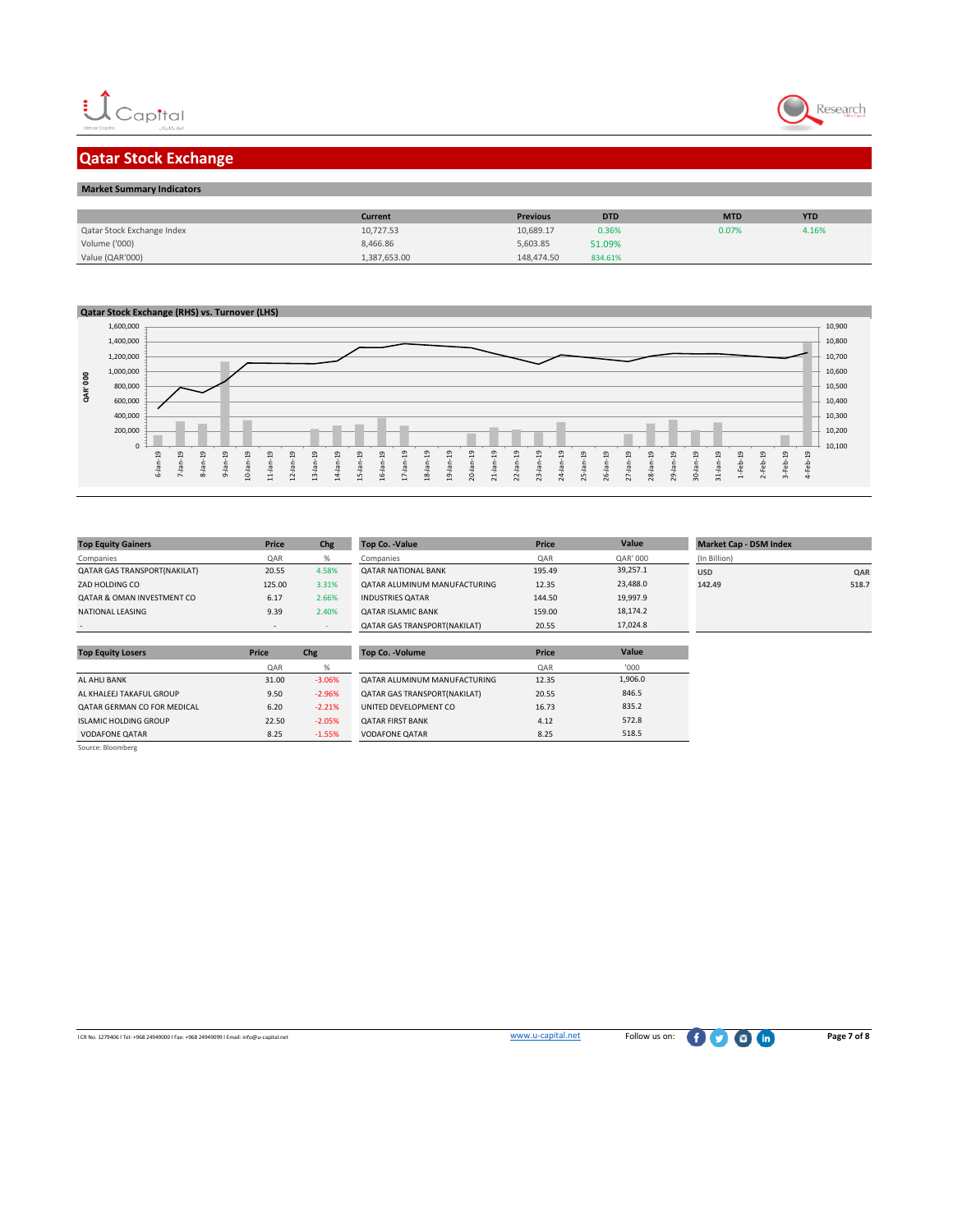



# **Qatar Stock Exchange**

| <b>Market Summary Indicators</b> |              |                 |            |            |            |
|----------------------------------|--------------|-----------------|------------|------------|------------|
|                                  |              |                 |            |            |            |
|                                  | Current      | <b>Previous</b> | <b>DTD</b> | <b>MTD</b> | <b>YTD</b> |
| Qatar Stock Exchange Index       | 10,727.53    | 10,689.17       | 0.36%      | 0.07%      | 4.16%      |
| Volume ('000)                    | 8,466.86     | 5,603.85        | 51.09%     |            |            |
| Value (QAR'000)                  | 1,387,653.00 | 148,474.50      | 834.61%    |            |            |

#### **Qatar Stock Exchange (RHS) vs. Turnover (LHS)**



**Top Equity Losers Price Chg Top Co. -Volume Price**

| <b>Top Equity Gainers</b>             | Price  | Chg   | <b>Top Co. - Value</b>              |
|---------------------------------------|--------|-------|-------------------------------------|
| Companies                             | QAR    | %     | Companies                           |
| QATAR GAS TRANSPORT(NAKILAT)          | 20.55  | 4.58% | <b>QATAR NATIONAL BANK</b>          |
| ZAD HOLDING CO                        | 125.00 | 3.31% | QATAR ALUMINUM MANUFACTURING        |
| <b>QATAR &amp; OMAN INVESTMENT CO</b> | 6.17   | 2.66% | <b>INDUSTRIES OATAR</b>             |
| NATIONAL LEASING                      | 9.39   | 2.40% | <b>QATAR ISLAMIC BANK</b>           |
|                                       |        |       | <b>OATAR GAS TRANSPORT/NAKILATI</b> |

| <b>Top Equity Gainers</b>             | <b>Price</b> | Chg   | <b>Top Co. -Value</b>               | <b>Price</b> | Value    | <b>Market Cap - DSM Index</b> |       |
|---------------------------------------|--------------|-------|-------------------------------------|--------------|----------|-------------------------------|-------|
| Companies                             | QAR          | %     | Companies                           | QAR          | QAR' 000 | (In Billion)                  |       |
| QATAR GAS TRANSPORT(NAKILAT)          | 20.55        | 4.58% | <b>QATAR NATIONAL BANK</b>          | 195.49       | 39.257.1 | <b>USD</b>                    | QAR   |
| ZAD HOLDING CO                        | 125.00       | 3.31% | OATAR ALUMINUM MANUFACTURING        | 12.35        | 23,488.0 | 142.49                        | 518.7 |
| <b>OATAR &amp; OMAN INVESTMENT CO</b> | 6.17         | 2.66% | <b>INDUSTRIES OATAR</b>             | 144.50       | 19,997.9 |                               |       |
| NATIONAL LEASING                      | 9.39         | 2.40% | <b>QATAR ISLAMIC BANK</b>           | 159.00       | 18,174.2 |                               |       |
|                                       | . .          |       | <b>QATAR GAS TRANSPORT(NAKILAT)</b> | 20.55        | 17,024.8 |                               |       |
|                                       |              |       |                                     |              |          |                               |       |

**Value**

'000 1,906.0 846.5 835.2 572.8 518.5

| <b>Top Equity Losers</b>     | Price | Chg      | <b>Top Co. - Volume</b>             | Price |
|------------------------------|-------|----------|-------------------------------------|-------|
|                              | QAR   | %        |                                     | QAR   |
| <b>AL AHLI BANK</b>          | 31.00 | $-3.06%$ | OATAR ALUMINUM MANUFACTURING        | 12.35 |
| AL KHALEEJ TAKAFUL GROUP     | 9.50  | $-2.96%$ | <b>QATAR GAS TRANSPORT(NAKILAT)</b> | 20.55 |
| QATAR GERMAN CO FOR MEDICAL  | 6.20  | $-2.21%$ | UNITED DEVELOPMENT CO               | 16.73 |
| <b>ISLAMIC HOLDING GROUP</b> | 22.50 | $-2.05%$ | <b>QATAR FIRST BANK</b>             | 4.12  |
| <b>VODAFONE QATAR</b>        | 8.25  | $-1.55%$ | <b>VODAFONE QATAR</b>               | 8.25  |

Source: Bloomberg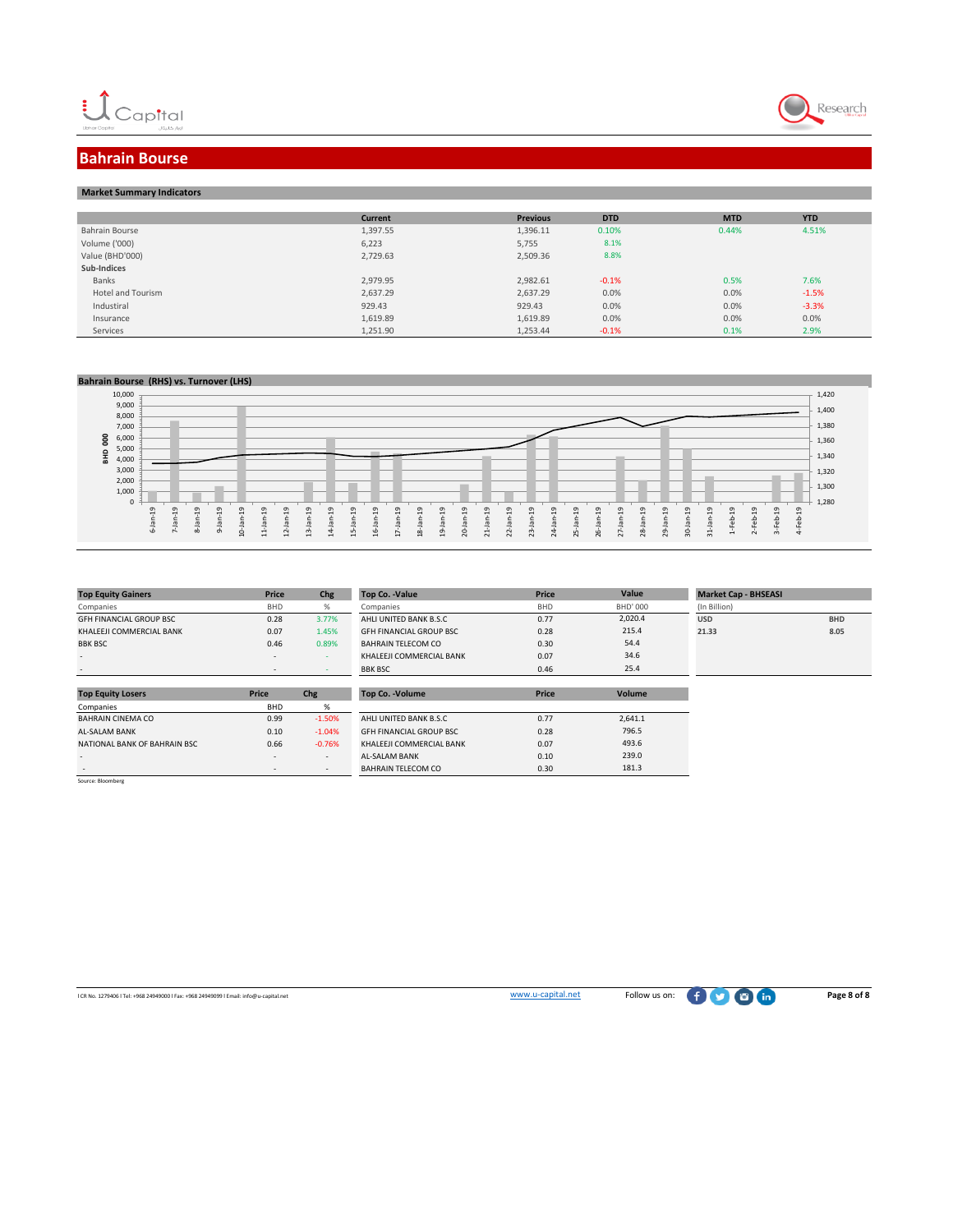



## **Bahrain Bourse**

| <b>Market Summary Indicators</b> |          |                 |            |            |            |
|----------------------------------|----------|-----------------|------------|------------|------------|
|                                  |          |                 |            |            |            |
|                                  | Current  | <b>Previous</b> | <b>DTD</b> | <b>MTD</b> | <b>YTD</b> |
| Bahrain Bourse                   | 1,397.55 | 1,396.11        | 0.10%      | 0.44%      | 4.51%      |
| Volume ('000)                    | 6,223    | 5,755           | 8.1%       |            |            |
| Value (BHD'000)                  | 2,729.63 | 2,509.36        | 8.8%       |            |            |
| Sub-Indices                      |          |                 |            |            |            |
| Banks                            | 2,979.95 | 2,982.61        | $-0.1%$    | 0.5%       | 7.6%       |
| Hotel and Tourism                | 2.637.29 | 2,637.29        | 0.0%       | 0.0%       | $-1.5%$    |
| Industiral                       | 929.43   | 929.43          | 0.0%       | 0.0%       | $-3.3%$    |
| Insurance                        | 1,619.89 | 1,619.89        | 0.0%       | 0.0%       | 0.0%       |
| Services                         | 1,251.90 | 1,253.44        | $-0.1%$    | 0.1%       | 2.9%       |

#### **Bahrain Bourse (RHS) vs. Turnover (LHS)**

| 10,000                          |                 |                          |               |          |               |        |                 |               |                    |                       |                          |                   |                |             |    |                |                        |                            |           |             |                          |               |          |    |    |                            |                                   |                        |                |          | 1,420 |
|---------------------------------|-----------------|--------------------------|---------------|----------|---------------|--------|-----------------|---------------|--------------------|-----------------------|--------------------------|-------------------|----------------|-------------|----|----------------|------------------------|----------------------------|-----------|-------------|--------------------------|---------------|----------|----|----|----------------------------|-----------------------------------|------------------------|----------------|----------|-------|
| 9,000                           |                 |                          |               |          |               |        |                 |               |                    |                       |                          |                   |                |             |    |                |                        |                            |           |             |                          |               |          |    |    |                            |                                   |                        |                |          | 1,400 |
| 8,000                           |                 |                          |               |          |               |        |                 |               |                    |                       |                          |                   |                |             |    |                |                        |                            |           |             |                          |               |          |    |    |                            |                                   |                        |                |          |       |
| 7,000                           |                 |                          |               |          |               |        |                 |               |                    |                       |                          |                   |                |             |    |                |                        |                            |           |             |                          |               |          |    |    |                            |                                   |                        |                |          | 1,380 |
| g<br>6,000                      |                 |                          |               |          |               |        |                 |               |                    |                       |                          |                   |                |             |    |                |                        |                            |           |             |                          |               |          |    |    |                            |                                   |                        |                |          | 1,360 |
| 5,000                           |                 |                          |               |          |               |        |                 |               |                    |                       |                          |                   |                |             |    |                |                        |                            |           |             |                          |               |          |    |    |                            |                                   |                        |                |          |       |
| $\frac{\Omega}{\Omega}$<br>4,00 |                 |                          |               |          |               |        |                 |               |                    |                       |                          |                   |                |             |    |                |                        |                            |           |             |                          |               |          |    |    |                            |                                   |                        |                |          | 1,340 |
| 3,000                           |                 |                          |               |          |               |        |                 |               |                    |                       |                          |                   |                |             |    |                |                        |                            |           |             |                          |               |          |    |    |                            |                                   |                        |                |          | 1,320 |
| 2,000                           |                 |                          |               |          |               |        |                 |               |                    |                       |                          |                   |                |             |    |                |                        |                            |           |             |                          |               |          |    |    |                            |                                   |                        |                |          | 1,300 |
| 1,000                           |                 |                          |               |          |               |        |                 |               |                    |                       |                          |                   |                |             |    |                |                        |                            |           |             |                          |               |          |    |    |                            |                                   |                        |                |          |       |
| υ                               | $\sigma$        | G                        |               | $\sigma$ | $\sigma$      |        | $\sigma$        |               | $\sigma$           | $\sigma$              | ᠳ                        | $\sigma$          | $\sigma$       | $\sigma$    |    | G)             |                        |                            | $\sigma$  | $\sigma$    | ō                        |               | $\sigma$ |    | ഗ  |                            |                                   | $\sigma$               | $\sigma$       | $\sigma$ | 1,280 |
|                                 | $\ddot{ }$<br>÷ | $\overline{\phantom{0}}$ | $\sigma$<br>÷ | -        |               | ີ<br>⊣ | $\blacksquare$  | $\sigma$<br>÷ |                    |                       | $\overline{\phantom{0}}$ | ÷                 | $\overline{ }$ |             | o  | $\mathbf{H}$   | $\sigma$<br>$\ddot{ }$ | $\sigma$<br>$\overline{ }$ |           | ⊣           | $\overline{\phantom{0}}$ | $\sigma$<br>÷ |          | σ  | н  | $\sigma$<br>$\blacksquare$ | $\sigma$<br>$\mathbf{\mathbf{d}}$ |                        | ≕              | -        |       |
|                                 | 므               | $\sigma$                 |               |          |               |        | $\sigma$<br>-   | $\sigma$<br>- |                    |                       | $\sigma$                 | $\mathbf{r}$      |                |             | œ  | ⊸              | -                      |                            |           | $\sigma$    | $\sigma$                 |               |          |    |    | $\sigma$<br>-              | $\mathbf{a}$                      | $\Omega$<br>$\sqrt{2}$ | $\mathfrak{a}$ | $\Omega$ |       |
|                                 | ف               | $\sim$                   | œ             | $\sigma$ | $\frac{0}{1}$ | 븝      | $\overline{12}$ | $\ddot{u}$    | ₹<br>$\rightarrow$ | LO.<br>$\overline{ }$ | ه<br>$\mathbf{H}$        | ∼<br>$\mathbf{H}$ | $\frac{8}{16}$ | Ō<br>$\div$ | 20 | $\overline{z}$ | $\overline{2}$         | 23                         | $\dot{N}$ | m<br>$\sim$ | ه<br>$\overline{N}$      | 27            | 28       | 29 | 20 | $\frac{1}{2}$              | -                                 | $\sim$                 | w              | ₹        |       |
|                                 |                 |                          |               |          |               |        |                 |               |                    |                       |                          |                   |                |             |    |                |                        |                            |           |             |                          |               |          |    |    |                            |                                   |                        |                |          |       |

| <b>Top Equity Gainers</b>      | Price                    | Chg                      | Top Co. - Value                | <b>Price</b> | Value    |              | <b>Market Cap - BHSEASI</b> |  |
|--------------------------------|--------------------------|--------------------------|--------------------------------|--------------|----------|--------------|-----------------------------|--|
| Companies                      | <b>BHD</b>               | %                        | Companies                      | <b>BHD</b>   | BHD' 000 | (In Billion) |                             |  |
| <b>GFH FINANCIAL GROUP BSC</b> | 0.28                     | 3.77%                    | AHLI UNITED BANK B.S.C         | 0.77         | 2,020.4  | <b>USD</b>   | <b>BHD</b>                  |  |
| KHALEEJI COMMERCIAL BANK       | 0.07                     | 1.45%                    | <b>GFH FINANCIAL GROUP BSC</b> | 0.28         | 215.4    | 21.33        | 8.05                        |  |
| <b>BBK BSC</b>                 | 0.46                     | 0.89%                    | BAHRAIN TELECOM CO             | 0.30         | 54.4     |              |                             |  |
| $\overline{\phantom{a}}$       | $\sim$                   | $\sim$                   | KHALEEJI COMMERCIAL BANK       | 0.07         | 34.6     |              |                             |  |
|                                | $\overline{\phantom{a}}$ | $\sim$                   | <b>BBK BSC</b>                 | 0.46         | 25.4     |              |                             |  |
|                                |                          |                          |                                |              |          |              |                             |  |
| <b>Top Equity Losers</b>       | Price                    | Chg                      | <b>Top Co. - Volume</b>        | <b>Price</b> | Volume   |              |                             |  |
| Companies                      | BHD                      | %                        |                                |              |          |              |                             |  |
| <b>BAHRAIN CINEMA CO</b>       | 0.99                     | $-1.50%$                 | AHLI UNITED BANK B.S.C         | 0.77         | 2,641.1  |              |                             |  |
| <b>AL-SALAM BANK</b>           | 0.10                     | $-1.04%$                 | <b>GFH FINANCIAL GROUP BSC</b> | 0.28         | 796.5    |              |                             |  |
| NATIONAL BANK OF BAHRAIN BSC   | 0.66                     | $-0.76%$                 | KHALEEJI COMMERCIAL BANK       | 0.07         | 493.6    |              |                             |  |
| $\overline{\phantom{a}}$       | $\overline{\phantom{a}}$ | $\overline{\phantom{a}}$ | <b>AL-SALAM BANK</b>           | 0.10         | 239.0    |              |                             |  |
|                                | $\overline{\phantom{a}}$ | $\overline{\phantom{a}}$ | <b>BAHRAIN TELECOM CO</b>      | 0.30         | 181.3    |              |                             |  |

-<br>Source: Bloomberg